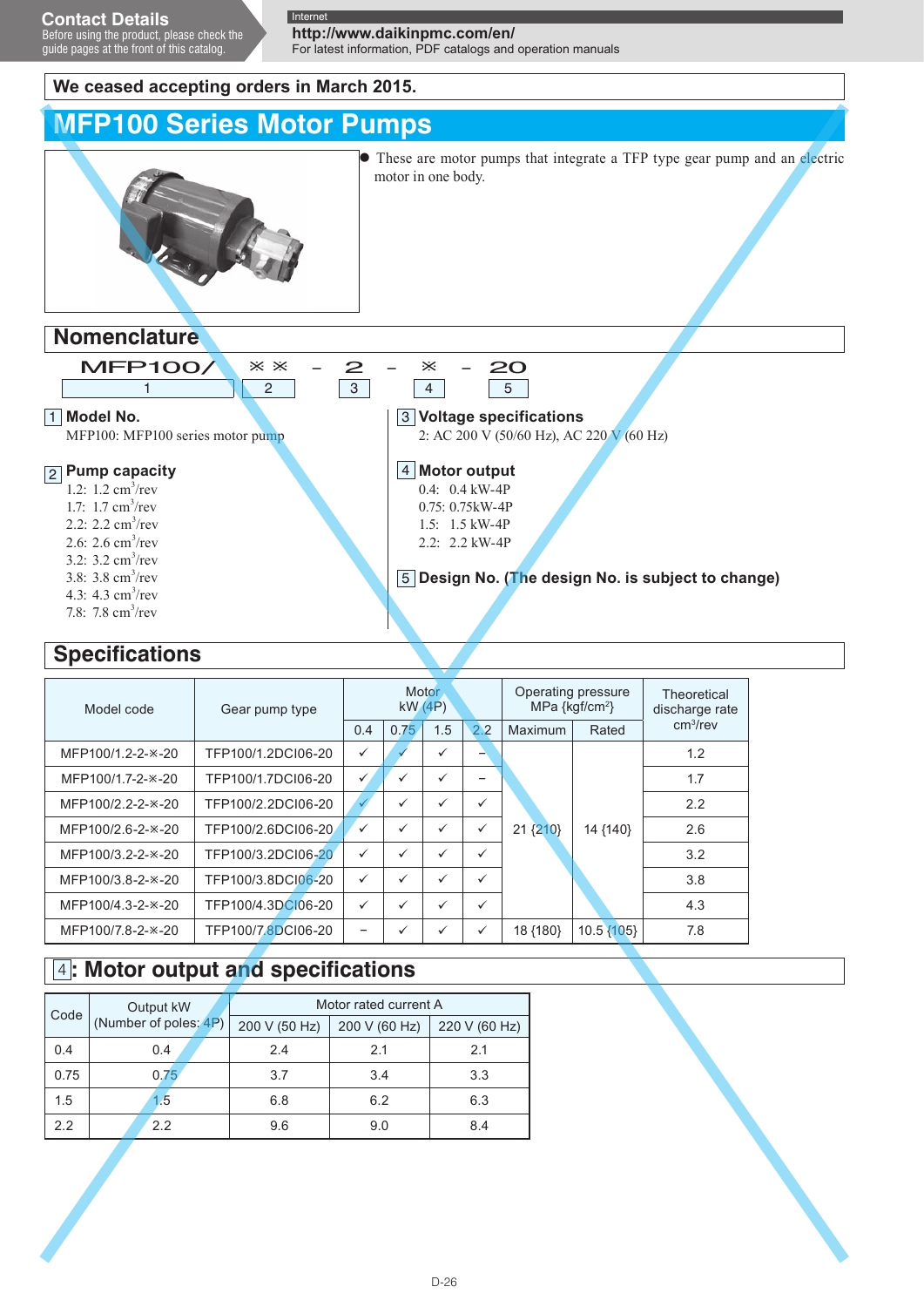guide pages at the front of this catalog.

**http://www.daikinpmc.com/en/**

For latest information, PDF catalogs and operation manuals

**Voltage specifications** 3

4 Motor output 0.4: 0.4 kW-4P 0.75: 0.75kW-4P 1.5: 1.5 kW-4P 2.2: 2.2 kW-4P

2: AC 200 V (50/60 Hz), AC 220 V (60 Hz)

**Design No. (The design No. is subject to change)** 5

### **We ceased accepting orders in March 2015.**

# **MFP100 Series Motor Pumps**



• These are motor pumps that integrate a TFP type gear pump and an electric motor in one body.

### **Nomenclature**



MFP100: MFP100 series motor pump

### **Pump capacity** 2

- 1.2:  $1.2 \text{ cm}^3/\text{rev}$ 1.7:  $1.7 \text{ cm}^3/\text{rev}$ 2.2:  $2.2 \text{ cm}^3/\text{rev}$
- 2.6: 2.6  $\text{cm}^3/\text{rev}$
- 
- 3.2:  $3.2 \text{ cm}^3/\text{rev}$
- 3.8:  $3.8 \text{ cm}^3/\text{rev}$ 4.3:  $4.3 \text{ cm}^3/\text{rev}$
- 7.8:  $7.8 \text{ cm}^3/\text{rev}$

## **Specifications**

### Model code Gear pump type Motor kW (4P) Operating pressure MPa {kgf/cm<sup>2</sup>} **Theoretical** discharge rate<br>cm<sup>3</sup>/rev cm3/rev 0.4 0.75 1.5 2.2 Maximum Rated MFP100/1.2-2- $\times$ -20 TFP100/1.2DCI06-20  $\checkmark$  $21 \{210\}$  14  $\{140\}$ 1.2  $MFP100/1.7-2-*-20$  TFP100/1.7DCI06-20  $\checkmark$   $\checkmark$   $\checkmark$   $\checkmark$   $\checkmark$   $\checkmark$   $\checkmark$   $\checkmark$   $\checkmark$   $\checkmark$   $\checkmark$   $\checkmark$   $\checkmark$   $\checkmark$   $\checkmark$   $\checkmark$   $\checkmark$   $\checkmark$   $\checkmark$   $\checkmark$   $\checkmark$   $\checkmark$   $\checkmark$   $\checkmark$   $\checkmark$   $\checkmark$   $\checkmark$   $\checkmark$   $\checkmark$   $\checkmark$   $\checkmark$  $MFP100/2.2-2-x-20$  TFP100/2.2DCI06-20  $\checkmark$   $\checkmark$   $\checkmark$   $\checkmark$   $\checkmark$   $\checkmark$   $\checkmark$   $\checkmark$   $\checkmark$   $\checkmark$   $\checkmark$   $\checkmark$   $\checkmark$   $\checkmark$   $\checkmark$   $\checkmark$   $\checkmark$   $\checkmark$   $\checkmark$   $\checkmark$   $\checkmark$   $\checkmark$   $\checkmark$   $\checkmark$   $\checkmark$   $\checkmark$   $\checkmark$   $\checkmark$   $\checkmark$   $\checkmark$   $\checkmark$ MFP100/2.6-2- $\times$ -20 TFP100/2.6DCI06-20  $\checkmark$   $\checkmark$   $\checkmark$   $\checkmark$   $\checkmark$   $\checkmark$   $\checkmark$  21.810} 14.4140} 2.6  $MFP100/3.2$ -2- $\times$ -20 TFP100/3.2DCI06-20  $\vee$   $\vee$   $\vee$   $\vee$   $\vee$  $\text{MFP100/3.8-2-}\times\text{-}20$  TFP100/3.8DCI06-20  $\checkmark$   $\checkmark$   $\checkmark$   $\checkmark$   $\checkmark$   $\checkmark$   $\checkmark$   $\checkmark$   $\checkmark$   $\checkmark$   $\checkmark$   $\checkmark$   $\checkmark$   $\checkmark$   $\checkmark$   $\checkmark$   $\checkmark$  3.8  $MFP100/4.3-2-2.20$  TFP100/4.3DCI06-20  $\checkmark$   $\checkmark$   $\checkmark$   $\checkmark$   $\checkmark$   $\checkmark$   $\checkmark$   $\checkmark$   $\checkmark$   $\checkmark$   $\checkmark$   $\checkmark$   $\checkmark$   $\checkmark$   $\checkmark$   $\checkmark$   $\checkmark$   $\checkmark$  4.3 MFP100/7.8-2- $\times$ -20 TFP100/7.8DCI06-20  $\checkmark$   $\checkmark$   $\checkmark$   $\checkmark$  18{180} 10.5 {105} 7.8

# 4 **: Motor output and specifications**

| Code | Output kW<br>(Number of poles: 4P) | Motor rated current A |               |               |
|------|------------------------------------|-----------------------|---------------|---------------|
|      |                                    | 200 V (50 Hz)         | 200 V (60 Hz) | 220 V (60 Hz) |
| 0.4  | 0.4                                | 2.4                   | 2.1           | 2.1           |
| 0.75 | 0.75                               | 3.7                   | 3.4           | 3.3           |
| 1.5  | 1.5                                | 6.8                   | 6.2           | 6.3           |
| 2.2  | 2.2                                | 9.6                   | 9.0           | 8.4           |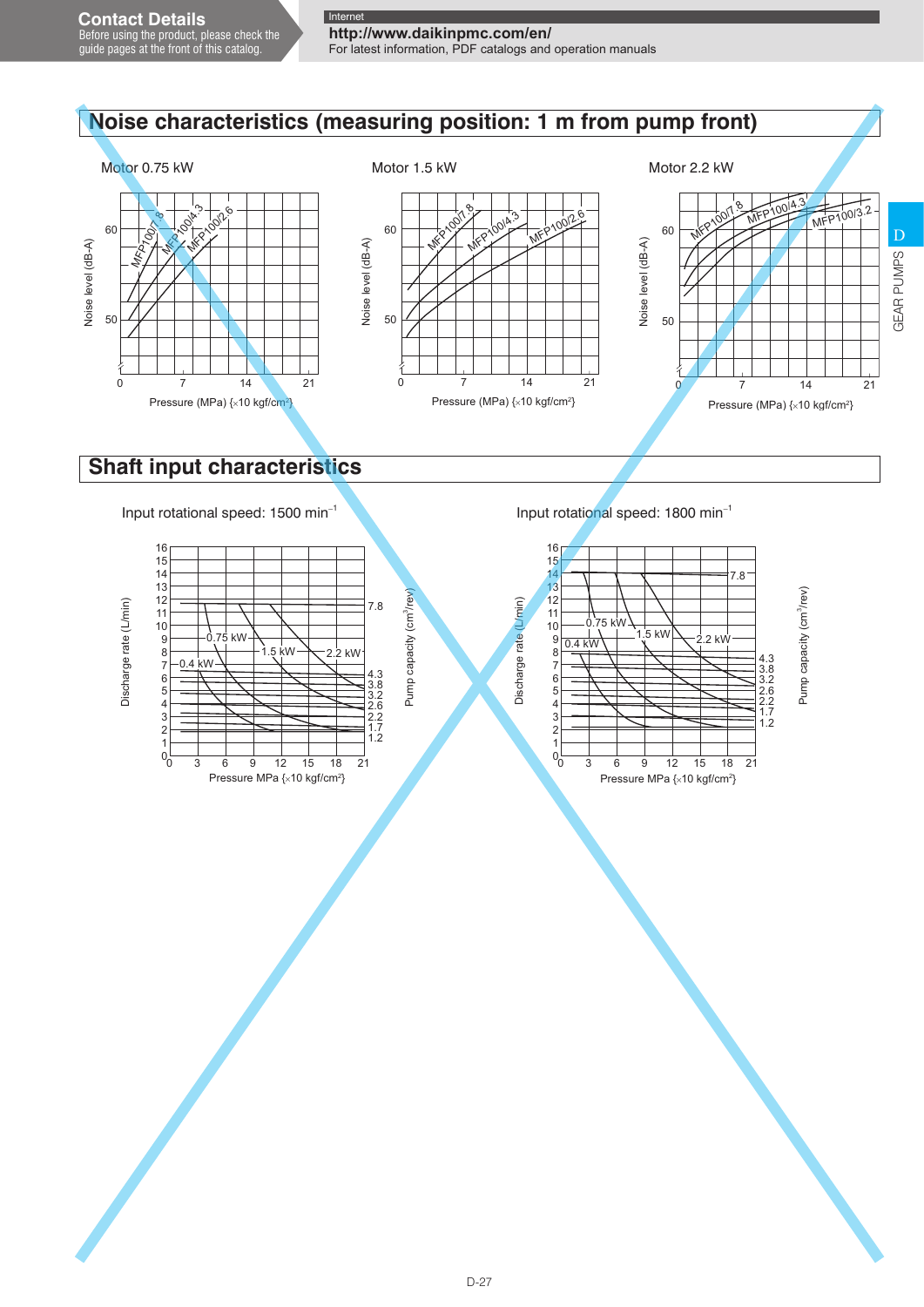# **http://www.daikinpmc.com/en/**

For latest information, PDF catalogs and operation manuals

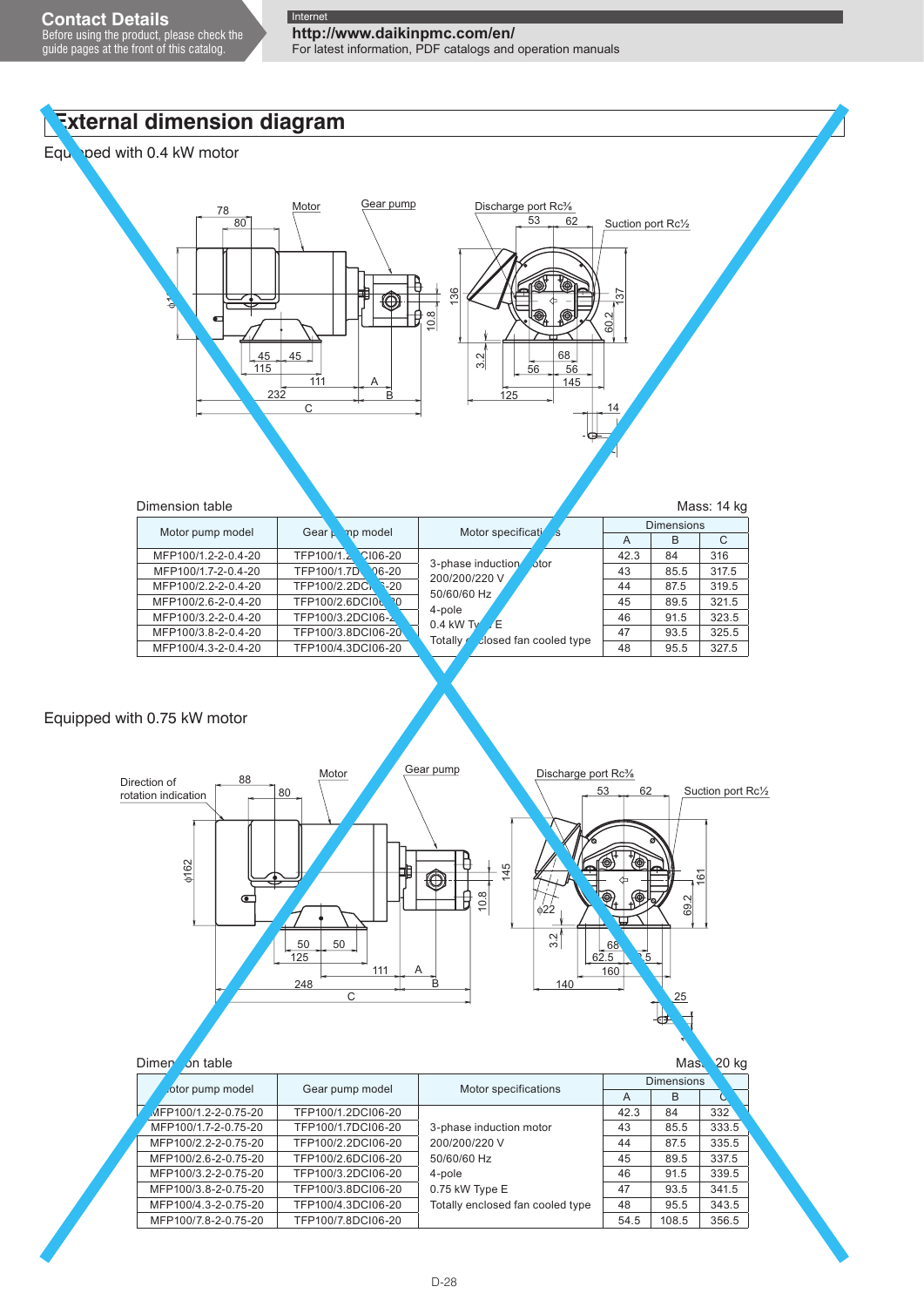Before using the product, please check the guide pages at the front of this catalog.

**http://www.daikinpmc.com/en/** For latest information, PDF catalogs and operation manuals